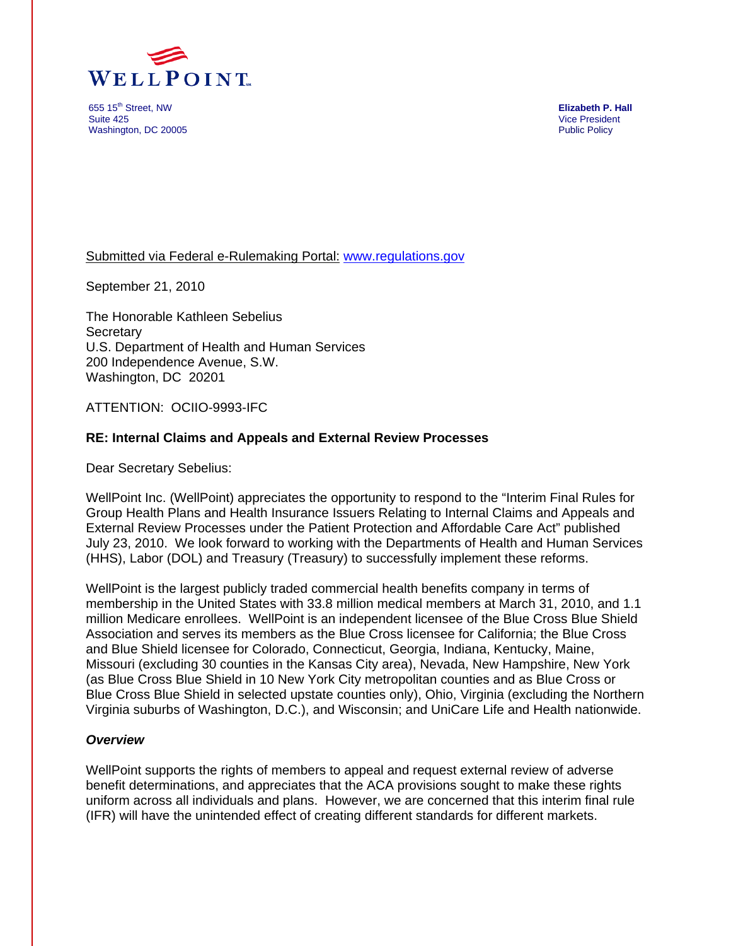

 655 15th Street, NW **Elizabeth P. Hall**  Suite 425 Vice President Vice 20005<br>
Vice President Vashington, DC 20005 Washington, DC 20005

### Submitted via Federal e-Rulemaking Portal: [www.regulations.gov](http://www.regulations.gov/)

September 21, 2010

The Honorable Kathleen Sebelius **Secretary** U.S. Department of Health and Human Services 200 Independence Avenue, S.W. Washington, DC 20201

ATTENTION: OCIIO-9993-IFC

#### **RE: Internal Claims and Appeals and External Review Processes**

Dear Secretary Sebelius:

WellPoint Inc. (WellPoint) appreciates the opportunity to respond to the "Interim Final Rules for Group Health Plans and Health Insurance Issuers Relating to Internal Claims and Appeals and External Review Processes under the Patient Protection and Affordable Care Act" published July 23, 2010. We look forward to working with the Departments of Health and Human Services (HHS), Labor (DOL) and Treasury (Treasury) to successfully implement these reforms.

WellPoint is the largest publicly traded commercial health benefits company in terms of membership in the United States with 33.8 million medical members at March 31, 2010, and 1.1 million Medicare enrollees. WellPoint is an independent licensee of the Blue Cross Blue Shield Association and serves its members as the Blue Cross licensee for California; the Blue Cross and Blue Shield licensee for Colorado, Connecticut, Georgia, Indiana, Kentucky, Maine, Missouri (excluding 30 counties in the Kansas City area), Nevada, New Hampshire, New York (as Blue Cross Blue Shield in 10 New York City metropolitan counties and as Blue Cross or Blue Cross Blue Shield in selected upstate counties only), Ohio, Virginia (excluding the Northern Virginia suburbs of Washington, D.C.), and Wisconsin; and UniCare Life and Health nationwide.

#### *Overview*

WellPoint supports the rights of members to appeal and request external review of adverse benefit determinations, and appreciates that the ACA provisions sought to make these rights uniform across all individuals and plans. However, we are concerned that this interim final rule (IFR) will have the unintended effect of creating different standards for different markets.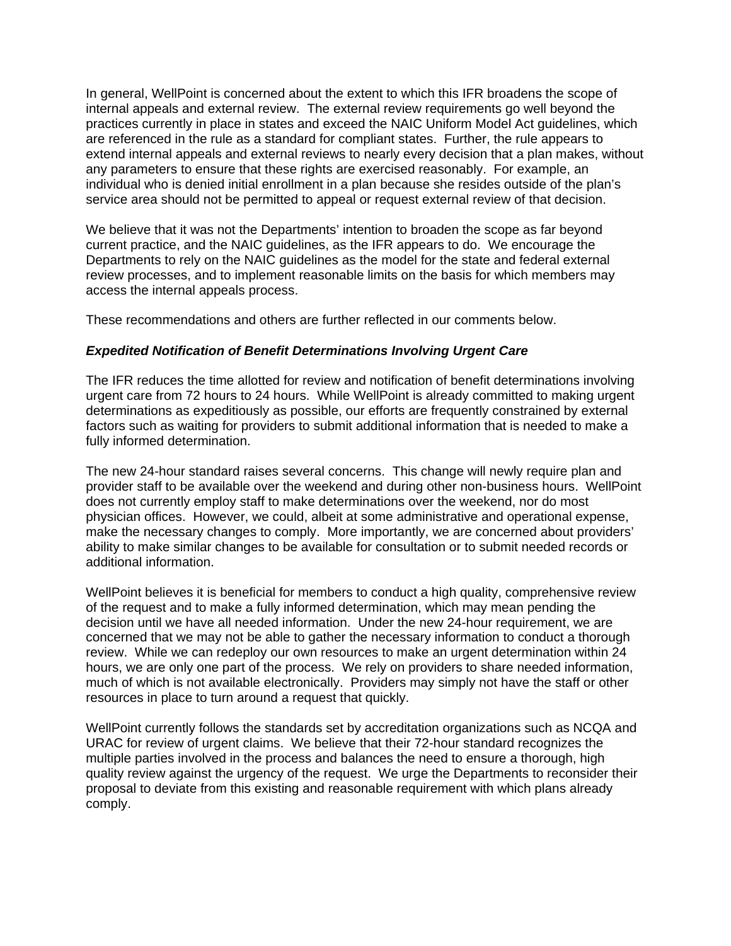In general, WellPoint is concerned about the extent to which this IFR broadens the scope of internal appeals and external review. The external review requirements go well beyond the practices currently in place in states and exceed the NAIC Uniform Model Act guidelines, which are referenced in the rule as a standard for compliant states. Further, the rule appears to extend internal appeals and external reviews to nearly every decision that a plan makes, without any parameters to ensure that these rights are exercised reasonably. For example, an individual who is denied initial enrollment in a plan because she resides outside of the plan's service area should not be permitted to appeal or request external review of that decision.

We believe that it was not the Departments' intention to broaden the scope as far beyond current practice, and the NAIC guidelines, as the IFR appears to do. We encourage the Departments to rely on the NAIC guidelines as the model for the state and federal external review processes, and to implement reasonable limits on the basis for which members may access the internal appeals process.

These recommendations and others are further reflected in our comments below.

# *Expedited Notification of Benefit Determinations Involving Urgent Care*

The IFR reduces the time allotted for review and notification of benefit determinations involving urgent care from 72 hours to 24 hours. While WellPoint is already committed to making urgent determinations as expeditiously as possible, our efforts are frequently constrained by external factors such as waiting for providers to submit additional information that is needed to make a fully informed determination.

The new 24-hour standard raises several concerns. This change will newly require plan and provider staff to be available over the weekend and during other non-business hours. WellPoint does not currently employ staff to make determinations over the weekend, nor do most physician offices. However, we could, albeit at some administrative and operational expense, make the necessary changes to comply. More importantly, we are concerned about providers' ability to make similar changes to be available for consultation or to submit needed records or additional information.

WellPoint believes it is beneficial for members to conduct a high quality, comprehensive review of the request and to make a fully informed determination, which may mean pending the decision until we have all needed information. Under the new 24-hour requirement, we are concerned that we may not be able to gather the necessary information to conduct a thorough review. While we can redeploy our own resources to make an urgent determination within 24 hours, we are only one part of the process. We rely on providers to share needed information, much of which is not available electronically. Providers may simply not have the staff or other resources in place to turn around a request that quickly.

WellPoint currently follows the standards set by accreditation organizations such as NCQA and URAC for review of urgent claims. We believe that their 72-hour standard recognizes the multiple parties involved in the process and balances the need to ensure a thorough, high quality review against the urgency of the request. We urge the Departments to reconsider their proposal to deviate from this existing and reasonable requirement with which plans already comply.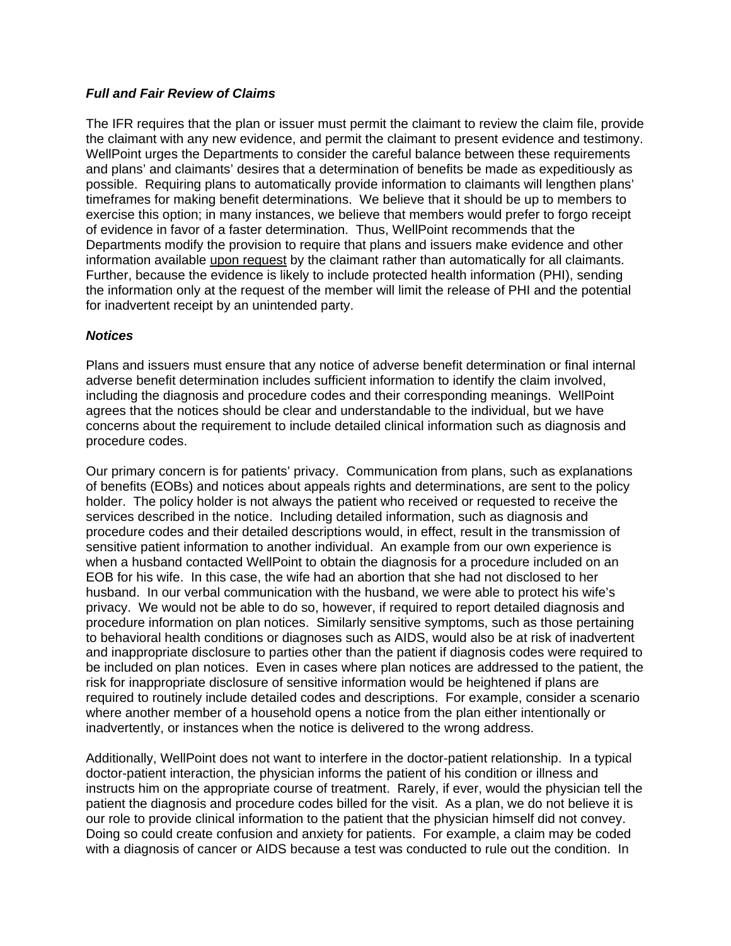# *Full and Fair Review of Claims*

The IFR requires that the plan or issuer must permit the claimant to review the claim file, provide the claimant with any new evidence, and permit the claimant to present evidence and testimony. WellPoint urges the Departments to consider the careful balance between these requirements and plans' and claimants' desires that a determination of benefits be made as expeditiously as possible. Requiring plans to automatically provide information to claimants will lengthen plans' timeframes for making benefit determinations. We believe that it should be up to members to exercise this option; in many instances, we believe that members would prefer to forgo receipt of evidence in favor of a faster determination. Thus, WellPoint recommends that the Departments modify the provision to require that plans and issuers make evidence and other information available upon request by the claimant rather than automatically for all claimants. Further, because the evidence is likely to include protected health information (PHI), sending the information only at the request of the member will limit the release of PHI and the potential for inadvertent receipt by an unintended party.

# *Notices*

Plans and issuers must ensure that any notice of adverse benefit determination or final internal adverse benefit determination includes sufficient information to identify the claim involved, including the diagnosis and procedure codes and their corresponding meanings. WellPoint agrees that the notices should be clear and understandable to the individual, but we have concerns about the requirement to include detailed clinical information such as diagnosis and procedure codes.

Our primary concern is for patients' privacy. Communication from plans, such as explanations of benefits (EOBs) and notices about appeals rights and determinations, are sent to the policy holder. The policy holder is not always the patient who received or requested to receive the services described in the notice. Including detailed information, such as diagnosis and procedure codes and their detailed descriptions would, in effect, result in the transmission of sensitive patient information to another individual. An example from our own experience is when a husband contacted WellPoint to obtain the diagnosis for a procedure included on an EOB for his wife. In this case, the wife had an abortion that she had not disclosed to her husband. In our verbal communication with the husband, we were able to protect his wife's privacy. We would not be able to do so, however, if required to report detailed diagnosis and procedure information on plan notices. Similarly sensitive symptoms, such as those pertaining to behavioral health conditions or diagnoses such as AIDS, would also be at risk of inadvertent and inappropriate disclosure to parties other than the patient if diagnosis codes were required to be included on plan notices. Even in cases where plan notices are addressed to the patient, the risk for inappropriate disclosure of sensitive information would be heightened if plans are required to routinely include detailed codes and descriptions. For example, consider a scenario where another member of a household opens a notice from the plan either intentionally or inadvertently, or instances when the notice is delivered to the wrong address.

Additionally, WellPoint does not want to interfere in the doctor-patient relationship. In a typical doctor-patient interaction, the physician informs the patient of his condition or illness and instructs him on the appropriate course of treatment. Rarely, if ever, would the physician tell the patient the diagnosis and procedure codes billed for the visit. As a plan, we do not believe it is our role to provide clinical information to the patient that the physician himself did not convey. Doing so could create confusion and anxiety for patients. For example, a claim may be coded with a diagnosis of cancer or AIDS because a test was conducted to rule out the condition. In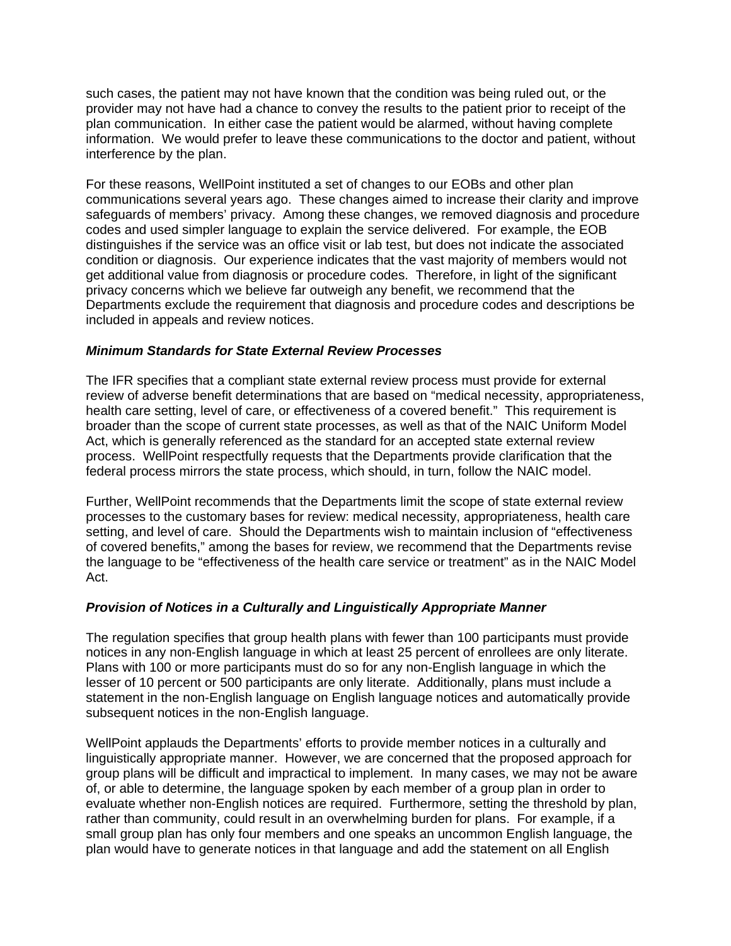such cases, the patient may not have known that the condition was being ruled out, or the provider may not have had a chance to convey the results to the patient prior to receipt of the plan communication. In either case the patient would be alarmed, without having complete information. We would prefer to leave these communications to the doctor and patient, without interference by the plan.

For these reasons, WellPoint instituted a set of changes to our EOBs and other plan communications several years ago. These changes aimed to increase their clarity and improve safeguards of members' privacy. Among these changes, we removed diagnosis and procedure codes and used simpler language to explain the service delivered. For example, the EOB distinguishes if the service was an office visit or lab test, but does not indicate the associated condition or diagnosis. Our experience indicates that the vast majority of members would not get additional value from diagnosis or procedure codes. Therefore, in light of the significant privacy concerns which we believe far outweigh any benefit, we recommend that the Departments exclude the requirement that diagnosis and procedure codes and descriptions be included in appeals and review notices.

### *Minimum Standards for State External Review Processes*

The IFR specifies that a compliant state external review process must provide for external review of adverse benefit determinations that are based on "medical necessity, appropriateness, health care setting, level of care, or effectiveness of a covered benefit." This requirement is broader than the scope of current state processes, as well as that of the NAIC Uniform Model Act, which is generally referenced as the standard for an accepted state external review process. WellPoint respectfully requests that the Departments provide clarification that the federal process mirrors the state process, which should, in turn, follow the NAIC model.

Further, WellPoint recommends that the Departments limit the scope of state external review processes to the customary bases for review: medical necessity, appropriateness, health care setting, and level of care. Should the Departments wish to maintain inclusion of "effectiveness of covered benefits," among the bases for review, we recommend that the Departments revise the language to be "effectiveness of the health care service or treatment" as in the NAIC Model Act.

#### *Provision of Notices in a Culturally and Linguistically Appropriate Manner*

The regulation specifies that group health plans with fewer than 100 participants must provide notices in any non-English language in which at least 25 percent of enrollees are only literate. Plans with 100 or more participants must do so for any non-English language in which the lesser of 10 percent or 500 participants are only literate. Additionally, plans must include a statement in the non-English language on English language notices and automatically provide subsequent notices in the non-English language.

WellPoint applauds the Departments' efforts to provide member notices in a culturally and linguistically appropriate manner. However, we are concerned that the proposed approach for group plans will be difficult and impractical to implement. In many cases, we may not be aware of, or able to determine, the language spoken by each member of a group plan in order to evaluate whether non-English notices are required. Furthermore, setting the threshold by plan, rather than community, could result in an overwhelming burden for plans. For example, if a small group plan has only four members and one speaks an uncommon English language, the plan would have to generate notices in that language and add the statement on all English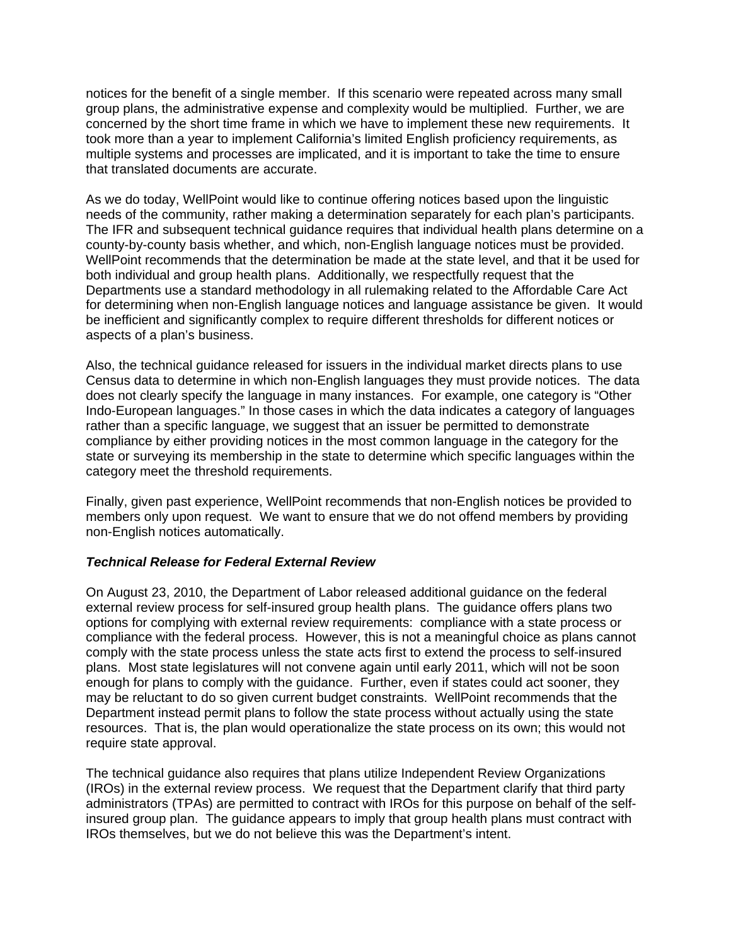notices for the benefit of a single member. If this scenario were repeated across many small group plans, the administrative expense and complexity would be multiplied. Further, we are concerned by the short time frame in which we have to implement these new requirements. It took more than a year to implement California's limited English proficiency requirements, as multiple systems and processes are implicated, and it is important to take the time to ensure that translated documents are accurate.

As we do today, WellPoint would like to continue offering notices based upon the linguistic needs of the community, rather making a determination separately for each plan's participants. The IFR and subsequent technical guidance requires that individual health plans determine on a county-by-county basis whether, and which, non-English language notices must be provided. WellPoint recommends that the determination be made at the state level, and that it be used for both individual and group health plans. Additionally, we respectfully request that the Departments use a standard methodology in all rulemaking related to the Affordable Care Act for determining when non-English language notices and language assistance be given. It would be inefficient and significantly complex to require different thresholds for different notices or aspects of a plan's business.

Also, the technical guidance released for issuers in the individual market directs plans to use Census data to determine in which non-English languages they must provide notices. The data does not clearly specify the language in many instances. For example, one category is "Other Indo-European languages." In those cases in which the data indicates a category of languages rather than a specific language, we suggest that an issuer be permitted to demonstrate compliance by either providing notices in the most common language in the category for the state or surveying its membership in the state to determine which specific languages within the category meet the threshold requirements.

Finally, given past experience, WellPoint recommends that non-English notices be provided to members only upon request. We want to ensure that we do not offend members by providing non-English notices automatically.

# *Technical Release for Federal External Review*

On August 23, 2010, the Department of Labor released additional guidance on the federal external review process for self-insured group health plans. The guidance offers plans two options for complying with external review requirements: compliance with a state process or compliance with the federal process. However, this is not a meaningful choice as plans cannot comply with the state process unless the state acts first to extend the process to self-insured plans. Most state legislatures will not convene again until early 2011, which will not be soon enough for plans to comply with the guidance. Further, even if states could act sooner, they may be reluctant to do so given current budget constraints. WellPoint recommends that the Department instead permit plans to follow the state process without actually using the state resources. That is, the plan would operationalize the state process on its own; this would not require state approval.

The technical guidance also requires that plans utilize Independent Review Organizations (IROs) in the external review process. We request that the Department clarify that third party administrators (TPAs) are permitted to contract with IROs for this purpose on behalf of the selfinsured group plan. The guidance appears to imply that group health plans must contract with IROs themselves, but we do not believe this was the Department's intent.